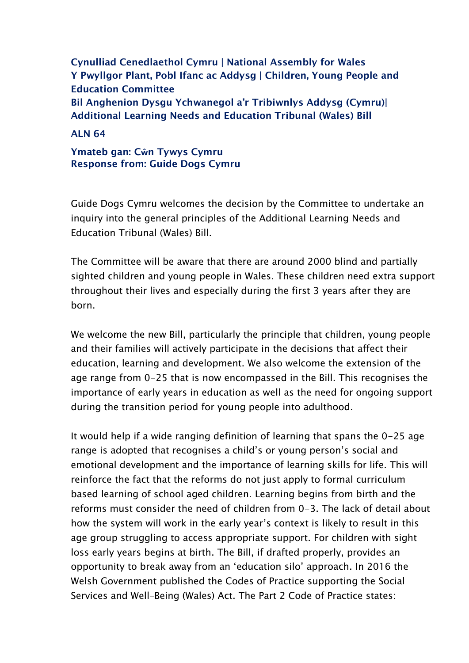**Cynulliad Cenedlaethol Cymru | National Assembly for Wales Y Pwyllgor Plant, Pobl Ifanc ac Addysg | Children, Young People and Education Committee Bil Anghenion Dysgu Ychwanegol a'r Tribiwnlys Addysg (Cymru)| Additional Learning Needs and Education Tribunal (Wales) Bill**

**ALN 64**

**Ymateb gan: Cŵn Tywys Cymru Response from: Guide Dogs Cymru** 

Guide Dogs Cymru welcomes the decision by the Committee to undertake an inquiry into the general principles of the Additional Learning Needs and Education Tribunal (Wales) Bill.

The Committee will be aware that there are around 2000 blind and partially sighted children and young people in Wales. These children need extra support throughout their lives and especially during the first 3 years after they are born.

We welcome the new Bill, particularly the principle that children, young people and their families will actively participate in the decisions that affect their education, learning and development. We also welcome the extension of the age range from 0-25 that is now encompassed in the Bill. This recognises the importance of early years in education as well as the need for ongoing support during the transition period for young people into adulthood.

It would help if a wide ranging definition of learning that spans the 0-25 age range is adopted that recognises a child's or young person's social and emotional development and the importance of learning skills for life. This will reinforce the fact that the reforms do not just apply to formal curriculum based learning of school aged children. Learning begins from birth and the reforms must consider the need of children from 0-3. The lack of detail about how the system will work in the early year's context is likely to result in this age group struggling to access appropriate support. For children with sight loss early years begins at birth. The Bill, if drafted properly, provides an opportunity to break away from an 'education silo' approach. In 2016 the Welsh Government published the Codes of Practice supporting the Social Services and Well–Being (Wales) Act. The Part 2 Code of Practice states: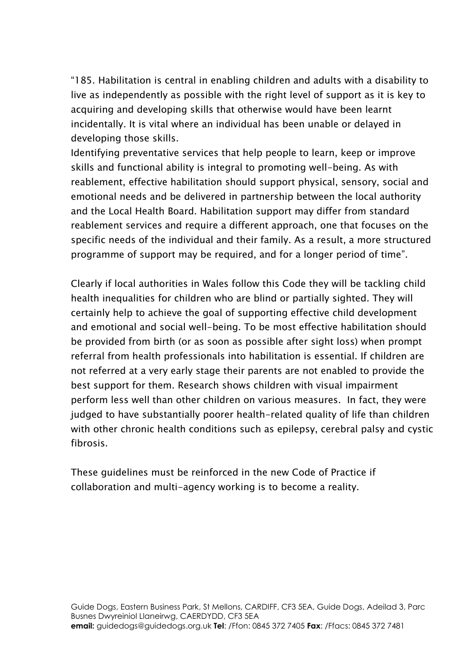"185. Habilitation is central in enabling children and adults with a disability to live as independently as possible with the right level of support as it is key to acquiring and developing skills that otherwise would have been learnt incidentally. It is vital where an individual has been unable or delayed in developing those skills.

Identifying preventative services that help people to learn, keep or improve skills and functional ability is integral to promoting well-being. As with reablement, effective habilitation should support physical, sensory, social and emotional needs and be delivered in partnership between the local authority and the Local Health Board. Habilitation support may differ from standard reablement services and require a different approach, one that focuses on the specific needs of the individual and their family. As a result, a more structured programme of support may be required, and for a longer period of time".

Clearly if local authorities in Wales follow this Code they will be tackling child health inequalities for children who are blind or partially sighted. They will certainly help to achieve the goal of supporting effective child development and emotional and social well-being. To be most effective habilitation should be provided from birth (or as soon as possible after sight loss) when prompt referral from health professionals into habilitation is essential. If children are not referred at a very early stage their parents are not enabled to provide the best support for them. Research shows children with visual impairment perform less well than other children on various measures. In fact, they were judged to have substantially poorer health-related quality of life than children with other chronic health conditions such as epilepsy, cerebral palsy and cystic fibrosis.

These guidelines must be reinforced in the new Code of Practice if collaboration and multi-agency working is to become a reality.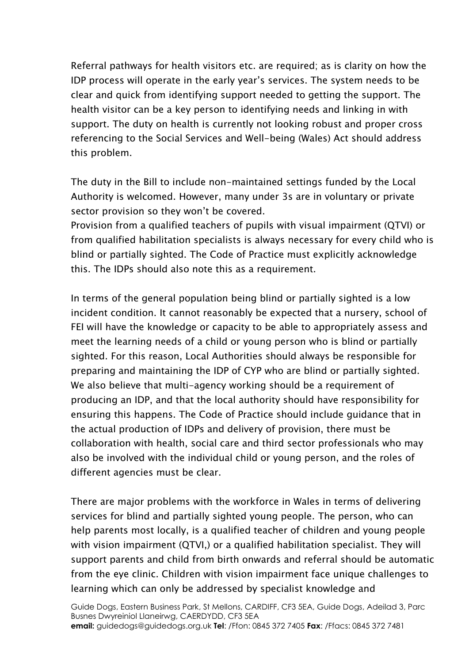Referral pathways for health visitors etc. are required; as is clarity on how the IDP process will operate in the early year's services. The system needs to be clear and quick from identifying support needed to getting the support. The health visitor can be a key person to identifying needs and linking in with support. The duty on health is currently not looking robust and proper cross referencing to the Social Services and Well-being (Wales) Act should address this problem.

The duty in the Bill to include non-maintained settings funded by the Local Authority is welcomed. However, many under 3s are in voluntary or private sector provision so they won't be covered.

Provision from a qualified teachers of pupils with visual impairment (QTVI) or from qualified habilitation specialists is always necessary for every child who is blind or partially sighted. The Code of Practice must explicitly acknowledge this. The IDPs should also note this as a requirement.

In terms of the general population being blind or partially sighted is a low incident condition. It cannot reasonably be expected that a nursery, school of FEI will have the knowledge or capacity to be able to appropriately assess and meet the learning needs of a child or young person who is blind or partially sighted. For this reason, Local Authorities should always be responsible for preparing and maintaining the IDP of CYP who are blind or partially sighted. We also believe that multi-agency working should be a requirement of producing an IDP, and that the local authority should have responsibility for ensuring this happens. The Code of Practice should include guidance that in the actual production of IDPs and delivery of provision, there must be collaboration with health, social care and third sector professionals who may also be involved with the individual child or young person, and the roles of different agencies must be clear.

There are major problems with the workforce in Wales in terms of delivering services for blind and partially sighted young people. The person, who can help parents most locally, is a qualified teacher of children and young people with vision impairment (QTVI,) or a qualified habilitation specialist. They will support parents and child from birth onwards and referral should be automatic from the eye clinic. Children with vision impairment face unique challenges to learning which can only be addressed by specialist knowledge and